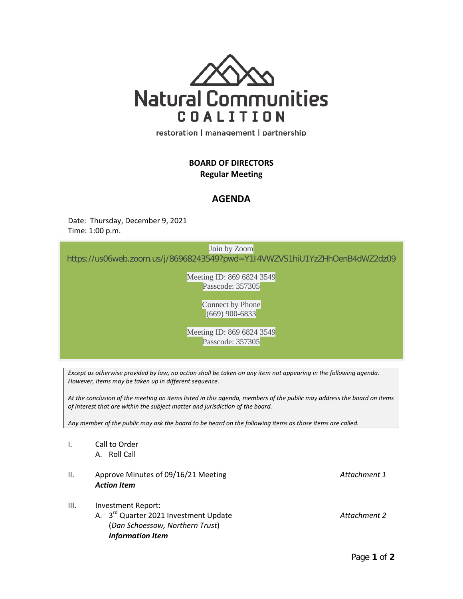

restoration | management | partnership

## **BOARD OF DIRECTORS Regular Meeting**

## **AGENDA**

Date: Thursday, December 9, 2021 Time: 1:00 p.m.

Join by Zoom

**Community Room** [https://us06web.zoom.us/j/86968243549?pwd=Y1I4VWZVS1hiU1YzZHhOenB4dWZ2dz09](https://www.google.com/url?q=https://us06web.zoom.us/j/86968243549?pwd%3DY1I4VWZVS1hiU1YzZHhOenB4dWZ2dz09&sa=D&source=calendar&ust=1638651534036662&usg=AOvVaw199BrvOlAshYoo9eUm2HIU)

15500 Sand Canyon Avenue Meeting ID: 869 6824 3549 Passcode: 357305

> Connect by Phone (669) 900-6833

Meeting ID: 869 6824 3549 Passcode: 357305

*Except as otherwise provided by law, no action shall be taken on any item not appearing in the following agenda. However, items may be taken up in different sequence.*

*At the conclusion of the meeting on items listed in this agenda, members of the public may address the board on items of interest that are within the subject matter and jurisdiction of the board.*

*Any member of the public may ask the board to be heard on the following items as those items are called.*

- I. Call to Order A. Roll Call
- II. Approve Minutes of 09/16/21 Meeting *Attachment 1 Action Item*
- III. Investment Report:
	- A. 3rd Quarter 2021 Investment Update *Attachment 2* (*Dan Schoessow, Northern Trust*) *Information Item*